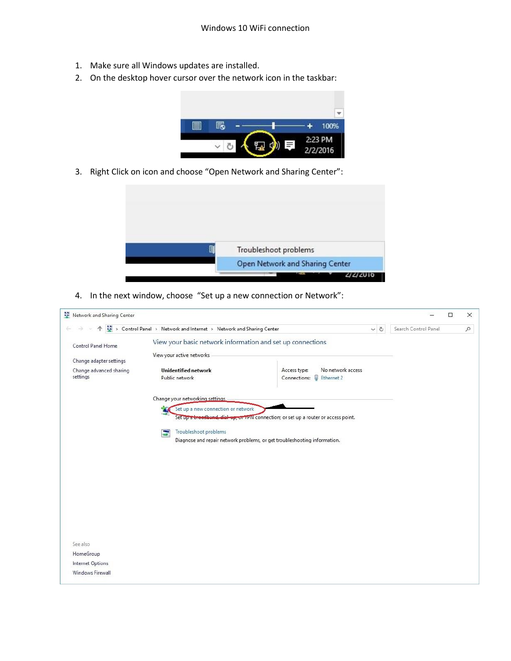- 1. Make sure all Windows updates are installed.
- 2. On the desktop hover cursor over the network icon in the taskbar:



3. Right Click on icon and choose "Open Network and Sharing Center":



4. In the next window, choose "Set up a new connection or Network":

| Network and Sharing Center          |                                                                     |                                                                                     |                      | □ | $\times$ |
|-------------------------------------|---------------------------------------------------------------------|-------------------------------------------------------------------------------------|----------------------|---|----------|
|                                     | > Control Panel > Network and Internet > Network and Sharing Center | $\vee$ 0                                                                            | Search Control Panel |   | $\alpha$ |
| Control Panel Home                  | View your basic network information and set up connections          |                                                                                     |                      |   |          |
| Change adapter settings             | View your active networks                                           |                                                                                     |                      |   |          |
| Change advanced sharing<br>settings | <b>Unidentified network</b><br>Public network                       | No network access<br>Access type:<br>Connections: U Ethernet 2                      |                      |   |          |
|                                     | Change your networking settings                                     |                                                                                     |                      |   |          |
|                                     | Set up a new connection or network                                  | Set up a broadband, dial up, or VPN connection; or set up a router or access point. |                      |   |          |
|                                     | Troubleshoot problems<br>Ξ                                          | Diagnose and repair network problems, or get troubleshooting information.           |                      |   |          |
|                                     |                                                                     |                                                                                     |                      |   |          |
|                                     |                                                                     |                                                                                     |                      |   |          |
|                                     |                                                                     |                                                                                     |                      |   |          |
|                                     |                                                                     |                                                                                     |                      |   |          |
|                                     |                                                                     |                                                                                     |                      |   |          |
| See also                            |                                                                     |                                                                                     |                      |   |          |
| HomeGroup                           |                                                                     |                                                                                     |                      |   |          |
| Internet Options                    |                                                                     |                                                                                     |                      |   |          |
| Windows Firewall                    |                                                                     |                                                                                     |                      |   |          |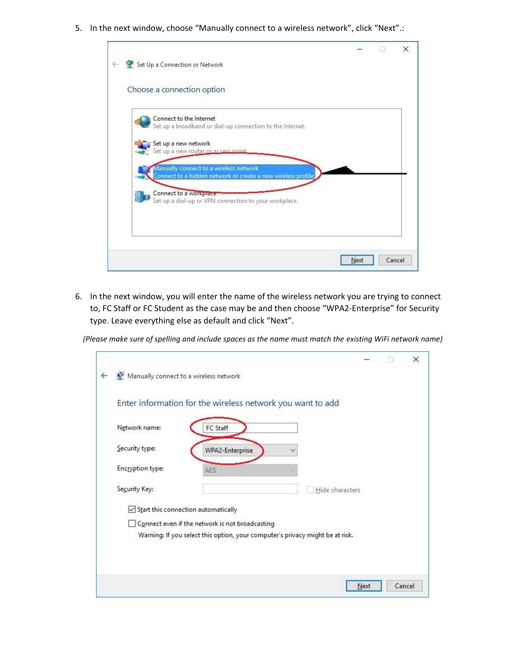5. In the next window, choose "Manually connect to a wireless network", click "Next".:

| Choose a connection option             |                                                               |  |  |
|----------------------------------------|---------------------------------------------------------------|--|--|
| Connect to the Internet                |                                                               |  |  |
|                                        | Set up a broadband or dial-up connection to the Internet.     |  |  |
| Set up a new network                   |                                                               |  |  |
| Set up a new router or access point    |                                                               |  |  |
| Aanually connect to a wireless network |                                                               |  |  |
|                                        | Connect to a hidden network or create a new wireless profile. |  |  |
| Connect to a workplace                 |                                                               |  |  |
|                                        | Set up a dial-up or VPN connection to your workplace.         |  |  |
|                                        |                                                               |  |  |

6. In the next window, you will enter the name of the wireless network you are trying to connect to, FC Staff or FC Student as the case may be and then choose "WPA2-Enterprise" for Security type. Leave everything else as default and click "Next".

*(Please make sure of spelling and include spaces as the name must match the existing WiFi network name)*

|                                     | Enter information for the wireless network you want to add                    |                 |
|-------------------------------------|-------------------------------------------------------------------------------|-----------------|
| Network name:                       | FC Staff                                                                      |                 |
| Security type:                      | WPA2-Enterprise                                                               |                 |
| <b>Encryption type:</b>             | AES                                                                           |                 |
| Security Key:                       |                                                                               | Hide characters |
| Start this connection automatically |                                                                               |                 |
|                                     | Connect even if the network is not broadcasting                               |                 |
|                                     | Warning: If you select this option, your computer's privacy might be at risk. |                 |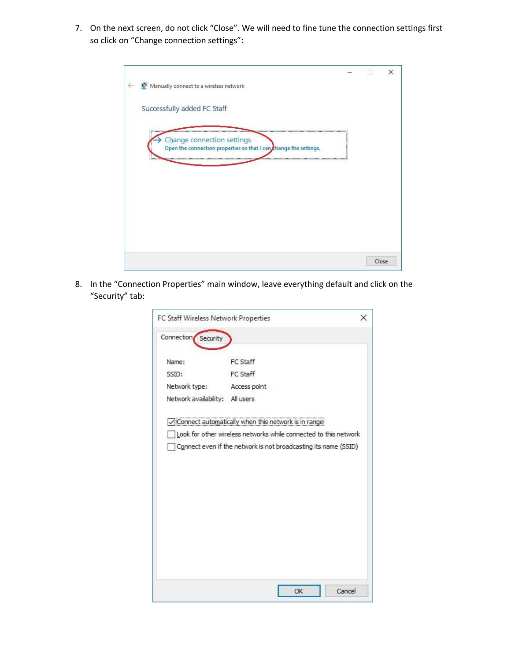7. On the next screen, do not click "Close". We will need to fine tune the connection settings first so click on "Change connection settings":

|                                                                       |  | ×     |
|-----------------------------------------------------------------------|--|-------|
| Manually connect to a wireless network                                |  |       |
|                                                                       |  |       |
| Successfully added FC Staff                                           |  |       |
|                                                                       |  |       |
| Change connection settings                                            |  |       |
| Open the connection properties so that I can thange the settings.<br> |  |       |
|                                                                       |  |       |
|                                                                       |  |       |
|                                                                       |  |       |
|                                                                       |  |       |
|                                                                       |  |       |
|                                                                       |  |       |
|                                                                       |  |       |
|                                                                       |  | Close |

8. In the "Connection Properties" main window, leave everything default and click on the "Security" tab:

| FC Staff Wireless Network Properties |                                                                  | × |
|--------------------------------------|------------------------------------------------------------------|---|
| Connection Security                  |                                                                  |   |
| Name:                                | FC Staff                                                         |   |
| SSID:                                | FC Staff                                                         |   |
| Network type:                        | Access point                                                     |   |
| Network availability: All users      |                                                                  |   |
|                                      | Connect automatically when this network is in range.             |   |
|                                      | Look for other wireless networks while connected to this network |   |
|                                      | Connect even if the network is not broadcasting its name (SSID)  |   |
|                                      |                                                                  |   |
|                                      |                                                                  |   |
|                                      |                                                                  |   |
|                                      |                                                                  |   |
|                                      |                                                                  |   |
|                                      |                                                                  |   |
|                                      |                                                                  |   |
|                                      |                                                                  |   |
|                                      |                                                                  |   |
|                                      |                                                                  |   |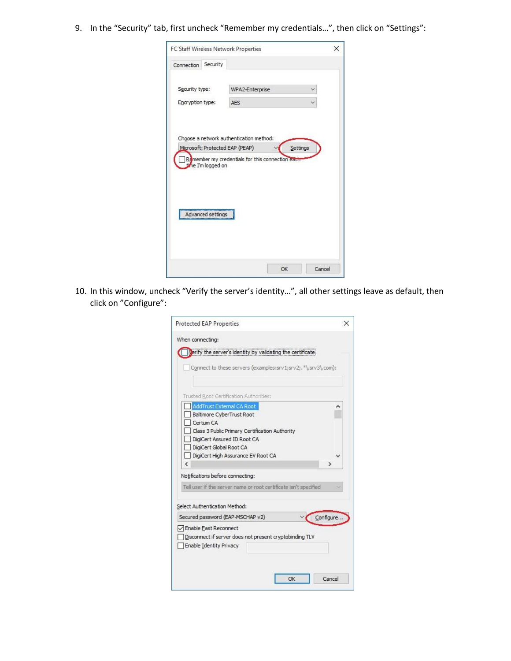9. In the "Security" tab, first uncheck "Remember my credentials…", then click on "Settings":

|                  |                    | FC Staff Wireless Network Properties             |          |  |
|------------------|--------------------|--------------------------------------------------|----------|--|
| Connection       | Security           |                                                  |          |  |
|                  |                    |                                                  |          |  |
| Security type:   |                    | WPA2-Enterprise                                  |          |  |
| Encryption type: |                    | AES                                              |          |  |
|                  |                    |                                                  |          |  |
|                  |                    |                                                  |          |  |
|                  |                    | Choose a network authentication method:          |          |  |
|                  |                    |                                                  |          |  |
|                  |                    | Microsoft: Protected EAP (PEAP)                  | Settings |  |
|                  |                    |                                                  |          |  |
|                  | time I'm logged on | Remember my credentials for this connection each |          |  |
|                  |                    |                                                  |          |  |
|                  |                    |                                                  |          |  |
|                  |                    |                                                  |          |  |
|                  |                    |                                                  |          |  |
|                  | Advanced settings  |                                                  |          |  |
|                  |                    |                                                  |          |  |
|                  |                    |                                                  |          |  |
|                  |                    |                                                  |          |  |

10. In this window, uncheck "Verify the server's identity…", all other settings leave as default, then click on "Configure":

| <b>Protected EAP Properties</b>                                                                                                                                  |           |
|------------------------------------------------------------------------------------------------------------------------------------------------------------------|-----------|
| When connecting:<br>erify the server's identity by validating the certificate!<br>Connect to these servers (examples:srv1;srv2;.*\.srv3\.com):                   |           |
| Trusted Root Certification Authorities:                                                                                                                          |           |
| AddTrust External CA Root<br>Baltimore CyberTrust Root                                                                                                           |           |
| Certum CA<br>Class 3 Public Primary Certification Authority<br>DigiCert Assured ID Root CA<br>DigiCert Global Root CA<br>DigiCert High Assurance EV Root CA<br>Ł |           |
| Notifications before connecting:                                                                                                                                 |           |
| Tell user if the server name or root certificate isn't specified                                                                                                 |           |
|                                                                                                                                                                  |           |
| Select Authentication Method:                                                                                                                                    |           |
| Secured password (EAP-MSCHAP v2)                                                                                                                                 | Configure |
| Enable Fast Reconnect<br>Disconnect if server does not present cryptobinding TLV<br>Enable Identity Privacy                                                      |           |
|                                                                                                                                                                  |           |
|                                                                                                                                                                  | Cancel    |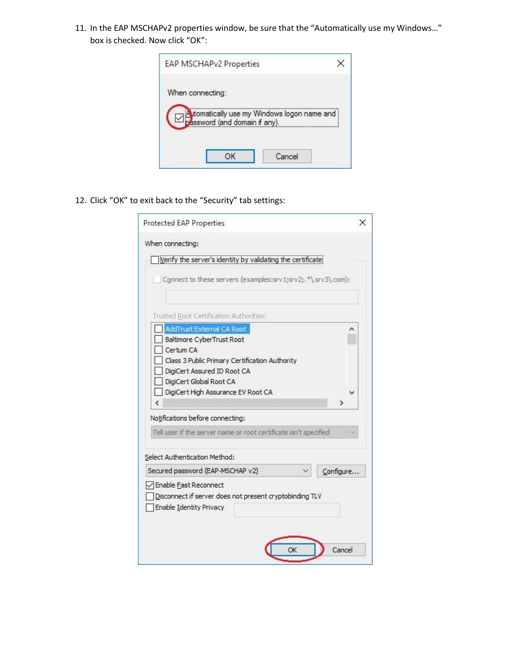11. In the EAP MSCHAPv2 properties window, be sure that the "Automatically use my Windows…" box is checked. Now click "OK":



12. Click "OK" to exit back to the "Security" tab settings:

| Protected EAP Properties                                                                                    |  |
|-------------------------------------------------------------------------------------------------------------|--|
| When connecting:                                                                                            |  |
| Verify the server's identity by validating the certificate                                                  |  |
| Connect to these servers (examples:srv1;srv2;.*\.srv3\.com):                                                |  |
| Trusted Root Certification Authorities:                                                                     |  |
| AddTrust External CA Root                                                                                   |  |
| Baltimore CyberTrust Root                                                                                   |  |
| Certum CA                                                                                                   |  |
| Class 3 Public Primary Certification Authority                                                              |  |
| DigiCert Assured ID Root CA                                                                                 |  |
| DigiCert Global Root CA                                                                                     |  |
| DigiCert High Assurance EV Root CA                                                                          |  |
| €                                                                                                           |  |
| Notifications before connecting:                                                                            |  |
| Tell user if the server name or root certificate isn't specified                                            |  |
|                                                                                                             |  |
| Select Authentication Method:                                                                               |  |
| Secured password (EAP-MSCHAP v2)<br>Configure                                                               |  |
| Enable East Reconnect<br>Disconnect if server does not present cryptobinding TLV<br>Enable Identity Privacy |  |
| OK<br>Cancel                                                                                                |  |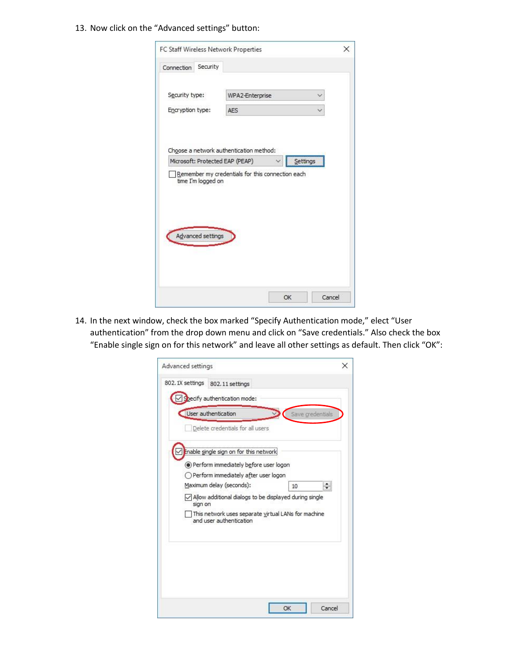## 13. Now click on the "Advanced settings" button:

| Connection       | Security           |                                                  |          |  |
|------------------|--------------------|--------------------------------------------------|----------|--|
|                  |                    |                                                  |          |  |
| Security type:   |                    | WPA2-Enterprise                                  |          |  |
| Encryption type: |                    | <b>AES</b>                                       |          |  |
|                  |                    |                                                  |          |  |
|                  |                    |                                                  |          |  |
|                  |                    |                                                  |          |  |
|                  |                    | Choose a network authentication method:          |          |  |
|                  |                    |                                                  |          |  |
|                  |                    | Microsoft: Protected EAP (PEAP)                  | Settings |  |
|                  |                    | Remember my credentials for this connection each |          |  |
|                  | time I'm logged on |                                                  |          |  |
|                  |                    |                                                  |          |  |
|                  |                    |                                                  |          |  |
|                  |                    |                                                  |          |  |
|                  |                    |                                                  |          |  |
|                  | Advanced settings  |                                                  |          |  |
|                  |                    |                                                  |          |  |
|                  |                    |                                                  |          |  |
|                  |                    |                                                  |          |  |

14. In the next window, check the box marked "Specify Authentication mode," elect "User authentication" from the drop down menu and click on "Save credentials." Also check the box "Enable single sign on for this network" and leave all other settings as default. Then click "OK":

| Delete credentials for all users                                                |    |    |
|---------------------------------------------------------------------------------|----|----|
| Enable single sign on for this network                                          |    |    |
| Perform immediately before user logon<br>○ Perform immediately after user logon |    |    |
| Maximum delay (seconds):                                                        | 10 | ÷۱ |
| $\sqrt{\ }$ Allow additional dialogs to be displayed during single<br>sign on   |    |    |
| This network uses separate virtual LANs for machine<br>and user authentication  |    |    |
|                                                                                 |    |    |
|                                                                                 |    |    |